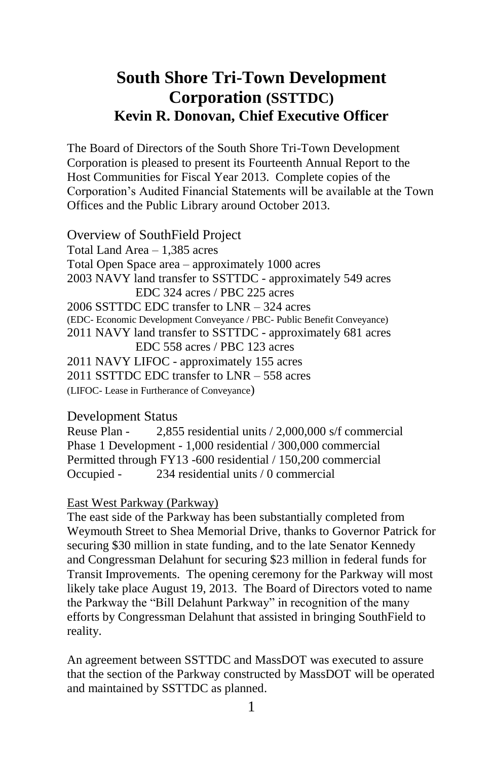# **South Shore Tri-Town Development Corporation (SSTTDC) Kevin R. Donovan, Chief Executive Officer**

The Board of Directors of the South Shore Tri-Town Development Corporation is pleased to present its Fourteenth Annual Report to the Host Communities for Fiscal Year 2013. Complete copies of the Corporation's Audited Financial Statements will be available at the Town Offices and the Public Library around October 2013.

Overview of SouthField Project Total Land Area – 1,385 acres Total Open Space area – approximately 1000 acres 2003 NAVY land transfer to SSTTDC - approximately 549 acres EDC 324 acres / PBC 225 acres 2006 SSTTDC EDC transfer to LNR – 324 acres (EDC- Economic Development Conveyance / PBC- Public Benefit Conveyance) 2011 NAVY land transfer to SSTTDC - approximately 681 acres EDC 558 acres / PBC 123 acres 2011 NAVY LIFOC - approximately 155 acres 2011 SSTTDC EDC transfer to LNR – 558 acres (LIFOC- Lease in Furtherance of Conveyance)

## Development Status

Reuse Plan - 2,855 residential units / 2,000,000 s/f commercial Phase 1 Development - 1,000 residential / 300,000 commercial Permitted through FY13 -600 residential / 150,200 commercial Occupied - 234 residential units / 0 commercial

#### East West Parkway (Parkway)

The east side of the Parkway has been substantially completed from Weymouth Street to Shea Memorial Drive, thanks to Governor Patrick for securing \$30 million in state funding, and to the late Senator Kennedy and Congressman Delahunt for securing \$23 million in federal funds for Transit Improvements. The opening ceremony for the Parkway will most likely take place August 19, 2013. The Board of Directors voted to name the Parkway the "Bill Delahunt Parkway" in recognition of the many efforts by Congressman Delahunt that assisted in bringing SouthField to reality.

An agreement between SSTTDC and MassDOT was executed to assure that the section of the Parkway constructed by MassDOT will be operated and maintained by SSTTDC as planned.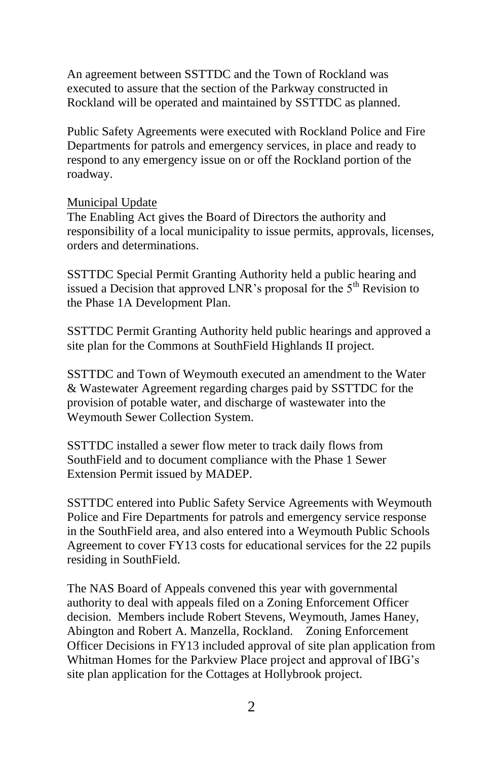An agreement between SSTTDC and the Town of Rockland was executed to assure that the section of the Parkway constructed in Rockland will be operated and maintained by SSTTDC as planned.

Public Safety Agreements were executed with Rockland Police and Fire Departments for patrols and emergency services, in place and ready to respond to any emergency issue on or off the Rockland portion of the roadway.

### Municipal Update

The Enabling Act gives the Board of Directors the authority and responsibility of a local municipality to issue permits, approvals, licenses, orders and determinations.

SSTTDC Special Permit Granting Authority held a public hearing and issued a Decision that approved LNR's proposal for the  $5<sup>th</sup>$  Revision to the Phase 1A Development Plan.

SSTTDC Permit Granting Authority held public hearings and approved a site plan for the Commons at SouthField Highlands II project.

SSTTDC and Town of Weymouth executed an amendment to the Water & Wastewater Agreement regarding charges paid by SSTTDC for the provision of potable water, and discharge of wastewater into the Weymouth Sewer Collection System.

SSTTDC installed a sewer flow meter to track daily flows from SouthField and to document compliance with the Phase 1 Sewer Extension Permit issued by MADEP.

SSTTDC entered into Public Safety Service Agreements with Weymouth Police and Fire Departments for patrols and emergency service response in the SouthField area, and also entered into a Weymouth Public Schools Agreement to cover FY13 costs for educational services for the 22 pupils residing in SouthField.

The NAS Board of Appeals convened this year with governmental authority to deal with appeals filed on a Zoning Enforcement Officer decision. Members include Robert Stevens, Weymouth, James Haney, Abington and Robert A. Manzella, Rockland. Zoning Enforcement Officer Decisions in FY13 included approval of site plan application from Whitman Homes for the Parkview Place project and approval of IBG's site plan application for the Cottages at Hollybrook project.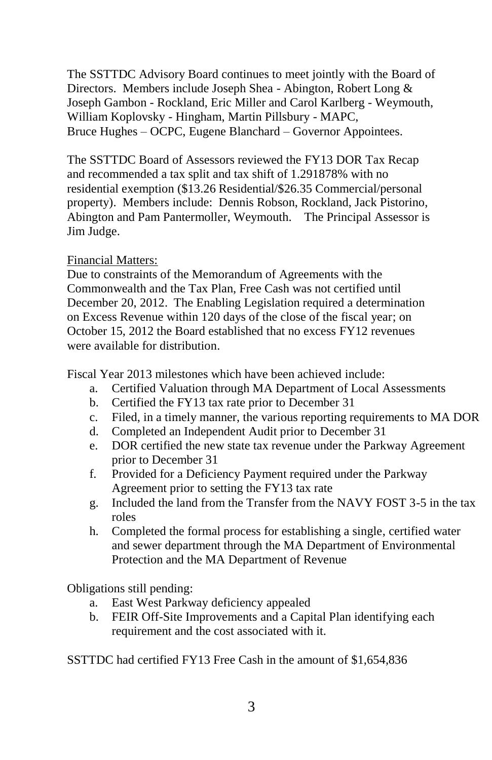The SSTTDC Advisory Board continues to meet jointly with the Board of Directors. Members include Joseph Shea - Abington, Robert Long & Joseph Gambon - Rockland, Eric Miller and Carol Karlberg - Weymouth, William Koplovsky - Hingham, Martin Pillsbury - MAPC, Bruce Hughes – OCPC, Eugene Blanchard – Governor Appointees.

The SSTTDC Board of Assessors reviewed the FY13 DOR Tax Recap and recommended a tax split and tax shift of 1.291878% with no residential exemption (\$13.26 Residential/\$26.35 Commercial/personal property). Members include: Dennis Robson, Rockland, Jack Pistorino, Abington and Pam Pantermoller, Weymouth. The Principal Assessor is Jim Judge.

## Financial Matters:

Due to constraints of the Memorandum of Agreements with the Commonwealth and the Tax Plan, Free Cash was not certified until December 20, 2012. The Enabling Legislation required a determination on Excess Revenue within 120 days of the close of the fiscal year; on October 15, 2012 the Board established that no excess FY12 revenues were available for distribution.

Fiscal Year 2013 milestones which have been achieved include:

- a. Certified Valuation through MA Department of Local Assessments
- b. Certified the FY13 tax rate prior to December 31
- c. Filed, in a timely manner, the various reporting requirements to MA DOR
- d. Completed an Independent Audit prior to December 31
- e. DOR certified the new state tax revenue under the Parkway Agreement prior to December 31
- f. Provided for a Deficiency Payment required under the Parkway Agreement prior to setting the FY13 tax rate
- g. Included the land from the Transfer from the NAVY FOST 3-5 in the tax roles
- h. Completed the formal process for establishing a single, certified water and sewer department through the MA Department of Environmental Protection and the MA Department of Revenue

Obligations still pending:

- a. East West Parkway deficiency appealed
- b. FEIR Off-Site Improvements and a Capital Plan identifying each requirement and the cost associated with it.

SSTTDC had certified FY13 Free Cash in the amount of \$1,654,836